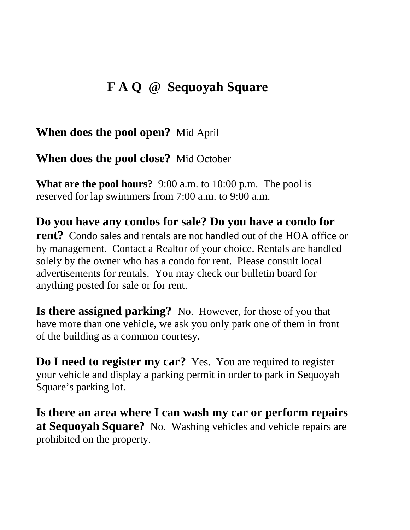## **F A Q @ Sequoyah Square**

## **When does the pool open?** Mid April

**When does the pool close?** Mid October

**What are the pool hours?** 9:00 a.m. to 10:00 p.m. The pool is reserved for lap swimmers from 7:00 a.m. to 9:00 a.m.

**Do you have any condos for sale? Do you have a condo for rent?** Condo sales and rentals are not handled out of the HOA office or by management. Contact a Realtor of your choice. Rentals are handled solely by the owner who has a condo for rent. Please consult local advertisements for rentals. You may check our bulletin board for anything posted for sale or for rent.

**Is there assigned parking?** No. However, for those of you that have more than one vehicle, we ask you only park one of them in front of the building as a common courtesy.

**Do I need to register my car?** Yes. You are required to register your vehicle and display a parking permit in order to park in Sequoyah Square's parking lot.

**Is there an area where I can wash my car or perform repairs at Sequoyah Square?** No. Washing vehicles and vehicle repairs are prohibited on the property.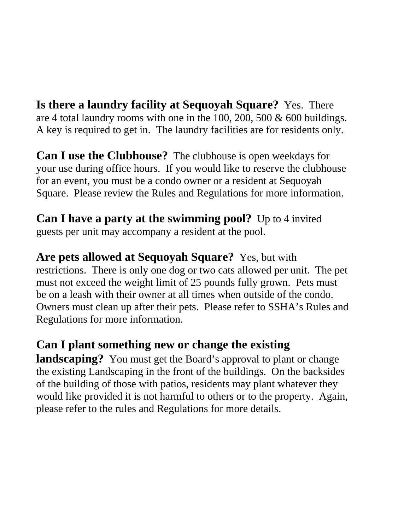**Is there a laundry facility at Sequoyah Square?** Yes. There are 4 total laundry rooms with one in the 100, 200, 500 & 600 buildings. A key is required to get in. The laundry facilities are for residents only.

**Can I use the Clubhouse?** The clubhouse is open weekdays for your use during office hours. If you would like to reserve the clubhouse for an event, you must be a condo owner or a resident at Sequoyah Square. Please review the Rules and Regulations for more information.

**Can I have a party at the swimming pool?** Up to 4 invited guests per unit may accompany a resident at the pool.

**Are pets allowed at Sequoyah Square?** Yes, but with restrictions. There is only one dog or two cats allowed per unit. The pet must not exceed the weight limit of 25 pounds fully grown. Pets must be on a leash with their owner at all times when outside of the condo. Owners must clean up after their pets. Please refer to SSHA's Rules and Regulations for more information.

## **Can I plant something new or change the existing**

**landscaping?** You must get the Board's approval to plant or change the existing Landscaping in the front of the buildings. On the backsides of the building of those with patios, residents may plant whatever they would like provided it is not harmful to others or to the property. Again, please refer to the rules and Regulations for more details.